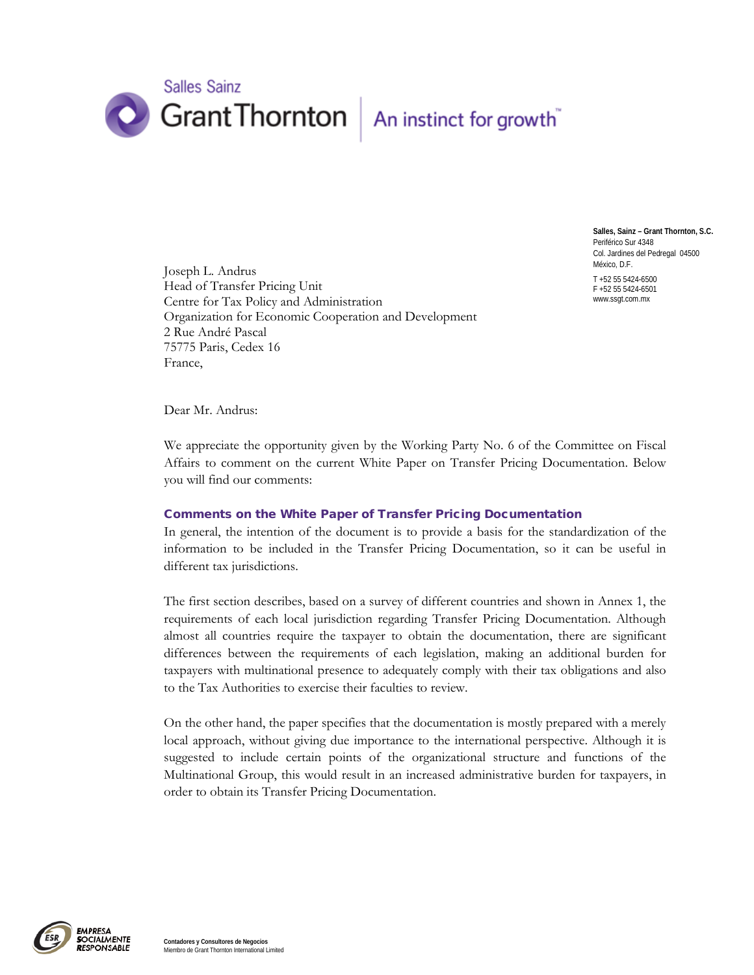

**Salles, Sainz – Grant Thornton, S.C.** Periférico Sur 4348 Col. Jardines del Pedregal 04500 México, D.F.

T +52 55 5424-6500 F +52 55 5424-6501 www.ssgt.com.mx

Joseph L. Andrus Head of Transfer Pricing Unit Centre for Tax Policy and Administration Organization for Economic Cooperation and Development 2 Rue André Pascal 75775 Paris, Cedex 16 France,

Dear Mr. Andrus:

We appreciate the opportunity given by the Working Party No. 6 of the Committee on Fiscal Affairs to comment on the current White Paper on Transfer Pricing Documentation. Below you will find our comments:

## Comments on the White Paper of Transfer Pricing Documentation

In general, the intention of the document is to provide a basis for the standardization of the information to be included in the Transfer Pricing Documentation, so it can be useful in different tax jurisdictions.

The first section describes, based on a survey of different countries and shown in Annex 1, the requirements of each local jurisdiction regarding Transfer Pricing Documentation. Although almost all countries require the taxpayer to obtain the documentation, there are significant differences between the requirements of each legislation, making an additional burden for taxpayers with multinational presence to adequately comply with their tax obligations and also to the Tax Authorities to exercise their faculties to review.

On the other hand, the paper specifies that the documentation is mostly prepared with a merely local approach, without giving due importance to the international perspective. Although it is suggested to include certain points of the organizational structure and functions of the Multinational Group, this would result in an increased administrative burden for taxpayers, in order to obtain its Transfer Pricing Documentation.

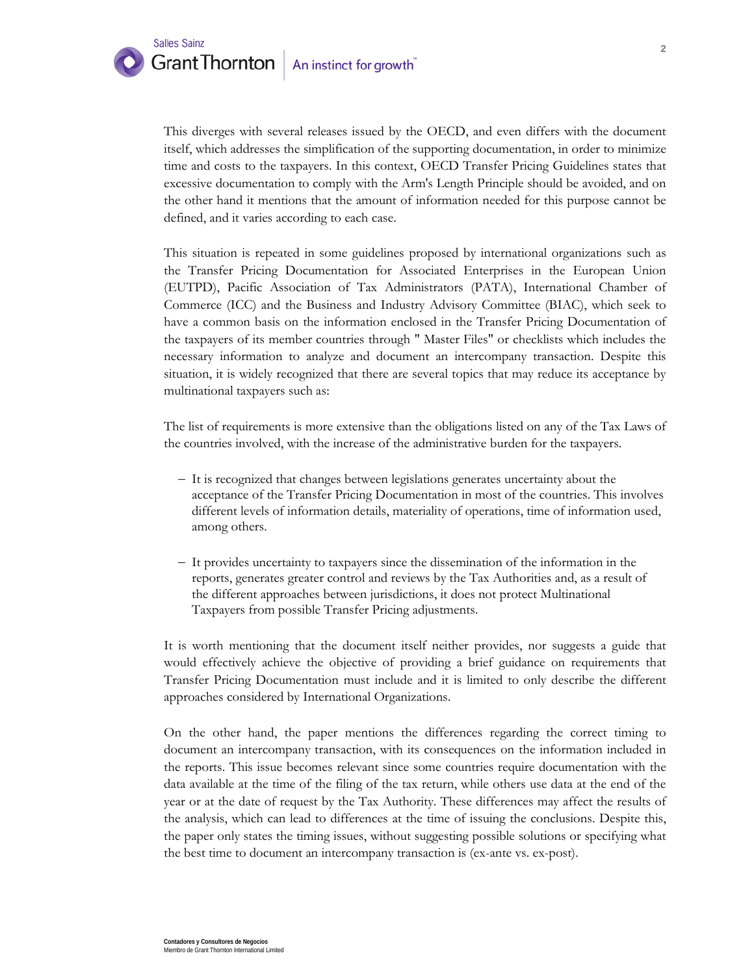

This diverges with several releases issued by the OECD, and even differs with the document itself, which addresses the simplification of the supporting documentation, in order to minimize time and costs to the taxpayers. In this context, OECD Transfer Pricing Guidelines states that excessive documentation to comply with the Arm's Length Principle should be avoided, and on the other hand it mentions that the amount of information needed for this purpose cannot be defined, and it varies according to each case.

This situation is repeated in some guidelines proposed by international organizations such as the Transfer Pricing Documentation for Associated Enterprises in the European Union (EUTPD), Pacific Association of Tax Administrators (PATA), International Chamber of Commerce (ICC) and the Business and Industry Advisory Committee (BIAC), which seek to have a common basis on the information enclosed in the Transfer Pricing Documentation of the taxpayers of its member countries through " Master Files" or checklists which includes the necessary information to analyze and document an intercompany transaction. Despite this situation, it is widely recognized that there are several topics that may reduce its acceptance by multinational taxpayers such as:

The list of requirements is more extensive than the obligations listed on any of the Tax Laws of the countries involved, with the increase of the administrative burden for the taxpayers.

- − It is recognized that changes between legislations generates uncertainty about the acceptance of the Transfer Pricing Documentation in most of the countries. This involves different levels of information details, materiality of operations, time of information used, among others.
- − It provides uncertainty to taxpayers since the dissemination of the information in the reports, generates greater control and reviews by the Tax Authorities and, as a result of the different approaches between jurisdictions, it does not protect Multinational Taxpayers from possible Transfer Pricing adjustments.

It is worth mentioning that the document itself neither provides, nor suggests a guide that would effectively achieve the objective of providing a brief guidance on requirements that Transfer Pricing Documentation must include and it is limited to only describe the different approaches considered by International Organizations.

On the other hand, the paper mentions the differences regarding the correct timing to document an intercompany transaction, with its consequences on the information included in the reports. This issue becomes relevant since some countries require documentation with the data available at the time of the filing of the tax return, while others use data at the end of the year or at the date of request by the Tax Authority. These differences may affect the results of the analysis, which can lead to differences at the time of issuing the conclusions. Despite this, the paper only states the timing issues, without suggesting possible solutions or specifying what the best time to document an intercompany transaction is (ex-ante vs. ex-post).